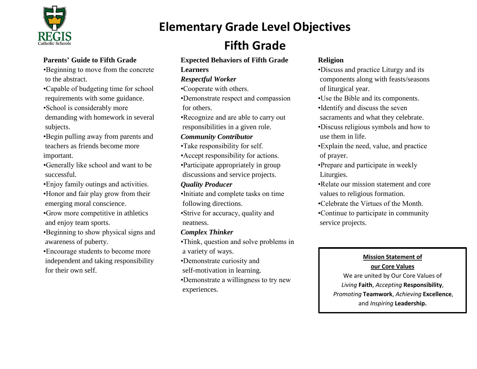

to the abstract.

# **Fifth Grade**

## **Expected Behaviors of Fifth Grade**

**Elementary Grade Level Objectives**

**Learners**

# *Respectful Worker*

•Cooperate with others.

•Demonstrate respect and compassion for others.

•Recognize and are able to carry out responsibilities in a given role.

# *Community Contributor*

- •Take responsibility for self.
- •Accept responsibility for actions.

•Participate appropriately in group discussions and service projects.

# *Quality Producer*

•Initiate and complete tasks on time following directions.

•Strive for accuracy, quality and neatness.

# *Complex Thinker*

•Think, question and solve problems in a variety of ways.

•Demonstrate curiosity and

self-motivation in learning.

•Demonstrate a willingness to try new experiences.

# **Religion**

•Discuss and practice Liturgy and its components along with feasts/seasons of liturgical year.

•Use the Bible and its components.

•Identify and discuss the seven

sacraments and what they celebrate.

•Discuss religious symbols and how to use them in life.

•Explain the need, value, and practice of prayer.

•Prepare and participate in weekly Liturgies.

•Relate our mission statement and core values to religious formation.

•Celebrate the Virtues of the Month.

•Continue to participate in community service projects.

# **Mission Statement of our Core Values**

We are united by Our Core Values of *Living* **Faith**, *Accepting* **Responsibility**, *Promoting* **Teamwork**, *Achieving* **Excellence**, and *Inspiring* **Leadership.**

subjects. •Begin pulling away from parents and teachers as friends become more important.

**Parents' Guide to Fifth Grade**

•School is considerably more

•Beginning to move from the concrete

•Capable of budgeting time for school requirements with some guidance.

demanding with homework in several

•Generally like school and want to be successful.

•Enjoy family outings and activities. •Honor and fair play grow from their emerging moral conscience.

•Grow more competitive in athletics and enjoy team sports.

•Beginning to show physical signs and awareness of puberty.

•Encourage students to become more independent and taking responsibility for their own self.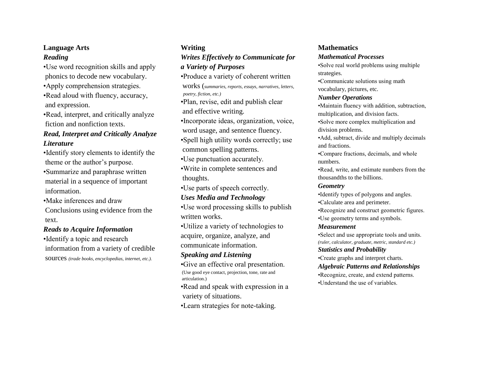## **Language Arts**

#### *Reading*

•Use word recognition skills and apply phonics to decode new vocabulary.

•Apply comprehension strategies.

•Read aloud with fluency, accuracy, and expression.

•Read, interpret, and critically analyze fiction and nonfiction texts.

## *Read, Interpret and Critically Analyze Literature*

•Identify story elements to identify the theme or the author's purpose.

•Summarize and paraphrase written material in a sequence of important information.

•Make inferences and draw

Conclusions using evidence from the text.

## *Reads to Acquire Information*

•Identify a topic and research information from a variety of credible sources *(trade books, encyclopedias, internet, etc.).*

# **Writing** *Writes Effectively to Communicate for a Variety of Purposes*

•Produce a variety of coherent written

works (*summaries, reports, essays, narratives, letters, poetry, fiction, etc.)*

•Plan, revise, edit and publish clear and effective writing.

•Incorporate ideas, organization, voice, word usage, and sentence fluency.

•Spell high utility words correctly; use common spelling patterns.

•Use punctuation accurately.

•Write in complete sentences and thoughts.

•Use parts of speech correctly.

## *Uses Media and Technology*

•Use word processing skills to publish written works.

•Utilize a variety of technologies to acquire, organize, analyze, and communicate information.

## *Speaking and Listening*

•Give an effective oral presentation. (Use good eye contact, projection, tone, rate and articulation.)

•Read and speak with expression in a variety of situations.

•Learn strategies for note-taking.

#### **Mathematics**

#### *Mathematical Processes*

•Solve real world problems using multiple strategies.

•Communicate solutions using math vocabulary, pictures, etc.

#### *Number Operations*

•Maintain fluency with addition, subtraction, multiplication, and division facts. •Solve more complex multiplication and

division problems.

•Add, subtract, divide and multiply decimals and fractions.

•Compare fractions, decimals, and whole numbers.

•Read, write, and estimate numbers from the thousandths to the billions.

#### *Geometry*

•Identify types of polygons and angles.

•Calculate area and perimeter.

•Recognize and construct geometric figures. •Use geometry terms and symbols.

#### *Measurement*

•Select and use appropriate tools and units. *(ruler, calculator, graduate, metric, standard etc.) Statistics and Probability*

•Create graphs and interpret charts.

## *Algebraic Patterns and Relationships*

•Recognize, create, and extend patterns. •Understand the use of variables.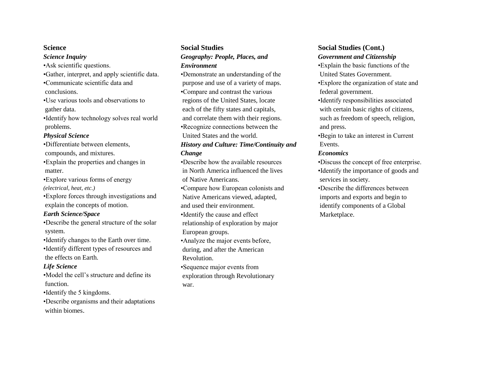#### **Science**

*Science Inquiry* •Ask scientific questions. •Gather, interpret, and apply scientific data. •Communicate scientific data and conclusions. •Use various tools and observations to gather data. •Identify how technology solves real world problems. *Physical Science* •Differentiate between elements,

compounds, and mixtures.

•Explain the properties and changes in matter.

•Explore various forms of energy *(electrical, heat, etc.)*

•Explore forces through investigations and explain the concepts of motion.

#### *Earth Science/Space*

•Describe the general structure of the solar system.

•Identify changes to the Earth over time. •Identify different types of resources and the effects on Earth.

#### *Life Science*

•Model the cell's structure and define its function.

•Identify the 5 kingdoms.

•Describe organisms and their adaptations within biomes.

## **Social Studies** *Geography: People, Places, and Environment*

•Demonstrate an understanding of the purpose and use of a variety of maps. •Compare and contrast the various regions of the United States, locate each of the fifty states and capitals, and correlate them with their regions. •Recognize connections between the United States and the world. *History and Culture: Time/Continuity and Change* •Describe how the available resources

in North America influenced the lives of Native Americans.

•Compare how European colonists and Native Americans viewed, adapted, and used their environment.

•Identify the cause and effect relationship of exploration by major European groups.

•Analyze the major events before, during, and after the American Revolution.

•Sequence major events from exploration through Revolutionary war.

# **Social Studies (Cont.)**

#### *Government and Citizenship*

•Explain the basic functions of the United States Government.

•Explore the organization of state and federal government.

•Identify responsibilities associated with certain basic rights of citizens, such as freedom of speech, religion, and press.

•Begin to take an interest in Current Events.

#### *Economics*

•Discuss the concept of free enterprise. •Identify the importance of goods and services in society.

•Describe the differences between imports and exports and begin to identify components of a Global Marketplace.